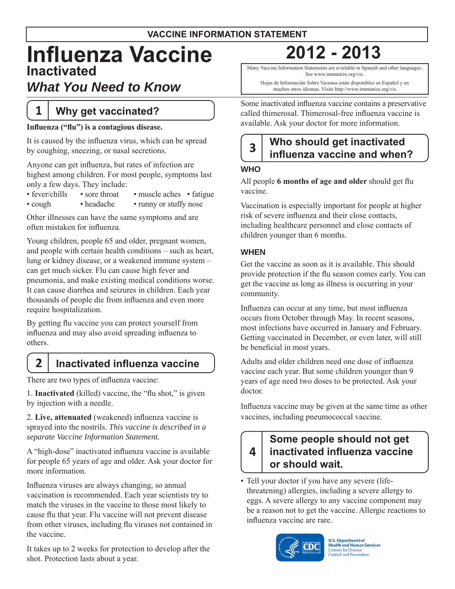### **VACCINE INFORMATION STATEMENT**

## **Influenza Vaccine 2012 - 2013 Inactivated**

## *What You Need to Know*

## **1 Why get vaccinated?**

#### **Influenza ("flu") is a contagious disease.**

It is caused by the influenza virus, which can be spread by coughing, sneezing, or nasal secretions.

Anyone can get influenza, but rates of infection are highest among children. For most people, symptoms last only a few days. They include:

- fever/chills sore throat muscle aches fatigue
- cough headache runny or stuffy nose

Other illnesses can have the same symptoms and are often mistaken for influenza.

Young children, people 65 and older, pregnant women, and people with certain health conditions – such as heart, lung or kidney disease, or a weakened immune system – can get much sicker. Flu can cause high fever and pneumonia, and make existing medical conditions worse. It can cause diarrhea and seizures in children. Each year thousands of people die from influenza and even more require hospitalization.

By getting flu vaccine you can protect yourself from influenza and may also avoid spreading influenza to others.

## **2 Inactivated influenza vaccine**

There are two types of influenza vaccine:

1. **Inactivated** (killed) vaccine, the "flu shot," is given by injection with a needle.

2. **Live, attenuated** (weakened) influenza vaccine is sprayed into the nostrils. *This vaccine is described in a separate Vaccine Information Statement.* 

A "high-dose" inactivated influenza vaccine is available for people 65 years of age and older. Ask your doctor for more information.

Influenza viruses are always changing, so annual vaccination is recommended. Each year scientists try to match the viruses in the vaccine to those most likely to cause flu that year. Flu vaccine will not prevent disease from other viruses, including flu viruses not contained in the vaccine.

It takes up to 2 weeks for protection to develop after the shot. Protection lasts about a year.

Many Vaccine Information Statements are available in Spanish and other languages. See www.immunize.org/vis.

Hojas de Informacián Sobre Vacunas están disponibles en Español y en muchos otros idiomas. Visite http://www.immunize.org/vis

 Some inactivated influenza vaccine contains a preservative called thimerosal. Thimerosal-free influenza vaccine is available. Ask your doctor for more information.

# **Who should get inactivated <sup>3</sup> influenza vaccine and when?**

### **WHO**

All people **6 months of age and older** should get flu vaccine.

Vaccination is especially important for people at higher risk of severe influenza and their close contacts, including healthcare personnel and close contacts of children younger than 6 months.

#### **WHEN**

Get the vaccine as soon as it is available. This should provide protection if the flu season comes early. You can get the vaccine as long as illness is occurring in your community.

Influenza can occur at any time, but most influenza occurs from October through May. In recent seasons, most infections have occurred in January and February. Getting vaccinated in December, or even later, will still be beneficial in most years.

Adults and older children need one dose of influenza vaccine each year. But some children younger than 9 years of age need two doses to be protected. Ask your doctor.

Influenza vaccine may be given at the same time as other vaccines, including pneumococcal vaccine.

#### **4 Some people should not get inactivated influenza vaccine or should wait.**

• Tell your doctor if you have any severe (lifethreatening) allergies, including a severe allergy to eggs. A severe allergy to any vaccine component may be a reason not to get the vaccine. Allergic reactions to influenza vaccine are rare.



**U.S. Department of Health and Human Services Centers for Disease Control and Prevention**